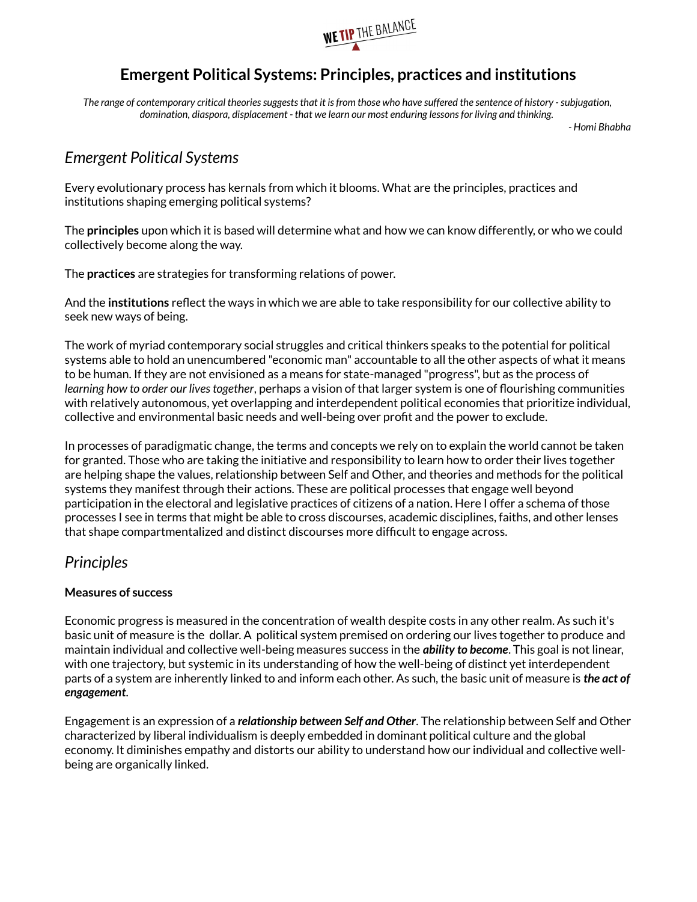

# **Emergent Political Systems: Principles, practices and institutions**

*The range of contemporary critical theories suggests that it is from those who have suffered the sentence of history - subjugation, domination, diaspora, displacement - that we learn our most enduring lessons for living and thinking.* 

*- Homi Bhabha*

# *Emergent Political Systems*

Every evolutionary process has kernals from which it blooms. What are the principles, practices and institutions shaping emerging political systems?

The **principles** upon which it is based will determine what and how we can know differently, or who we could collectively become along the way.

The **practices** are strategies for transforming relations of power.

And the **institutions** reflect the ways in which we are able to take responsibility for our collective ability to seek new ways of being.

The work of myriad contemporary social struggles and critical thinkers speaks to the potential for political systems able to hold an unencumbered "economic man" accountable to all the other aspects of what it means to be human. If they are not envisioned as a means for state-managed "progress", but as the process of *learning how to order our lives together*, perhaps a vision of that larger system is one of flourishing communities with relatively autonomous, yet overlapping and interdependent political economies that prioritize individual, collective and environmental basic needs and well-being over profit and the power to exclude.

In processes of paradigmatic change, the terms and concepts we rely on to explain the world cannot be taken for granted. Those who are taking the initiative and responsibility to learn how to order their lives together are helping shape the values, relationship between Self and Other, and theories and methods for the political systems they manifest through their actions. These are political processes that engage well beyond participation in the electoral and legislative practices of citizens of a nation. Here I offer a schema of those processes I see in terms that might be able to cross discourses, academic disciplines, faiths, and other lenses that shape compartmentalized and distinct discourses more difficult to engage across.

## *Principles*

### **Measures of success**

Economic progress is measured in the concentration of wealth despite costs in any other realm. As such it's basic unit of measure is the dollar. A political system premised on ordering our lives together to produce and maintain individual and collective well-being measures success in the *ability to become*. This goal is not linear, with one trajectory, but systemic in its understanding of how the well-being of distinct yet interdependent parts of a system are inherently linked to and inform each other. As such, the basic unit of measure is *the act of engagement*.

Engagement is an expression of a *relationship between Self and Other*. The relationship between Self and Other characterized by liberal individualism is deeply embedded in dominant political culture and the global economy. It diminishes empathy and distorts our ability to understand how our individual and collective wellbeing are organically linked.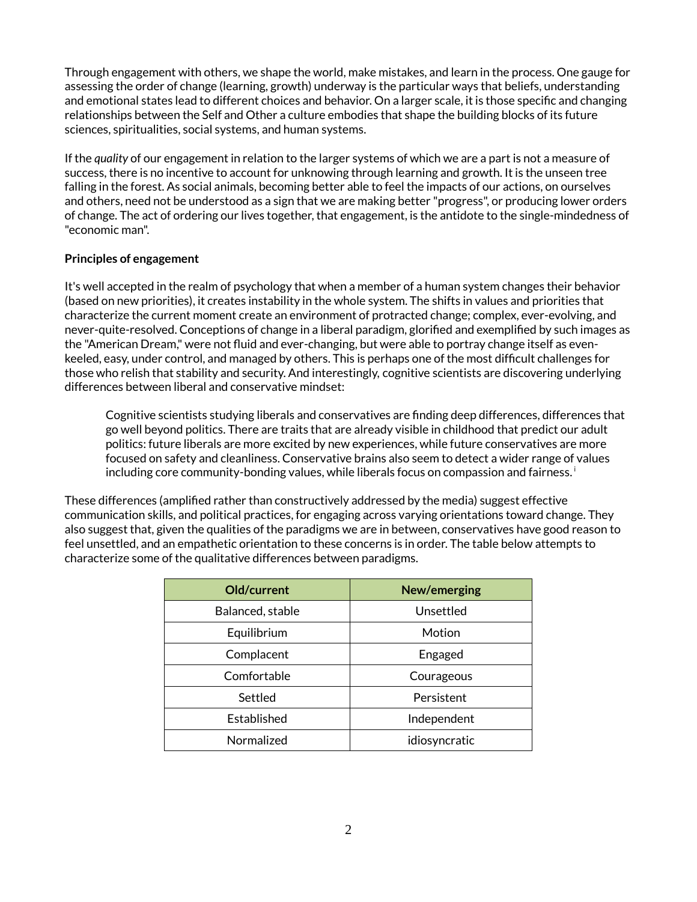Through engagement with others, we shape the world, make mistakes, and learn in the process. One gauge for assessing the order of change (learning, growth) underway is the particular ways that beliefs, understanding and emotional states lead to different choices and behavior. On a larger scale, it is those specific and changing relationships between the Self and Other a culture embodies that shape the building blocks of its future sciences, spiritualities, social systems, and human systems.

If the *quality* of our engagement in relation to the larger systems of which we are a part is not a measure of success, there is no incentive to account for unknowing through learning and growth. It is the unseen tree falling in the forest. As social animals, becoming better able to feel the impacts of our actions, on ourselves and others, need not be understood as a sign that we are making better "progress", or producing lower orders of change. The act of ordering our lives together, that engagement, is the antidote to the single-mindedness of "economic man".

### **Principles of engagement**

It's well accepted in the realm of psychology that when a member of a human system changes their behavior (based on new priorities), it creates instability in the whole system. The shifts in values and priorities that characterize the current moment create an environment of protracted change; complex, ever-evolving, and never-quite-resolved. Conceptions of change in a liberal paradigm, glorified and exemplified by such images as the "American Dream," were not fluid and ever-changing, but were able to portray change itself as evenkeeled, easy, under control, and managed by others. This is perhaps one of the most difficult challenges for those who relish that stability and security. And interestingly, cognitive scientists are discovering underlying differences between liberal and conservative mindset:

Cognitive scientists studying liberals and conservatives are finding deep differences, differences that go well beyond politics. There are traits that are already visible in childhood that predict our adult politics: future liberals are more excited by new experiences, while future conservatives are more focused on safety and cleanliness. Conservative brains also seem to detect a wider range of values including core community-bonding values, while liberals focus on compassion and fairness.

These differences (amplified rather than constructively addressed by the media) suggest effective communication skills, and political practices, for engaging across varying orientations toward change. They also suggest that, given the qualities of the paradigms we are in between, conservatives have good reason to feel unsettled, and an empathetic orientation to these concerns is in order. The table below attempts to characterize some of the qualitative differences between paradigms.

| Old/current      | New/emerging  |
|------------------|---------------|
| Balanced, stable | Unsettled     |
| Equilibrium      | Motion        |
| Complacent       | Engaged       |
| Comfortable      | Courageous    |
| Settled          | Persistent    |
| Established      | Independent   |
| Normalized       | idiosyncratic |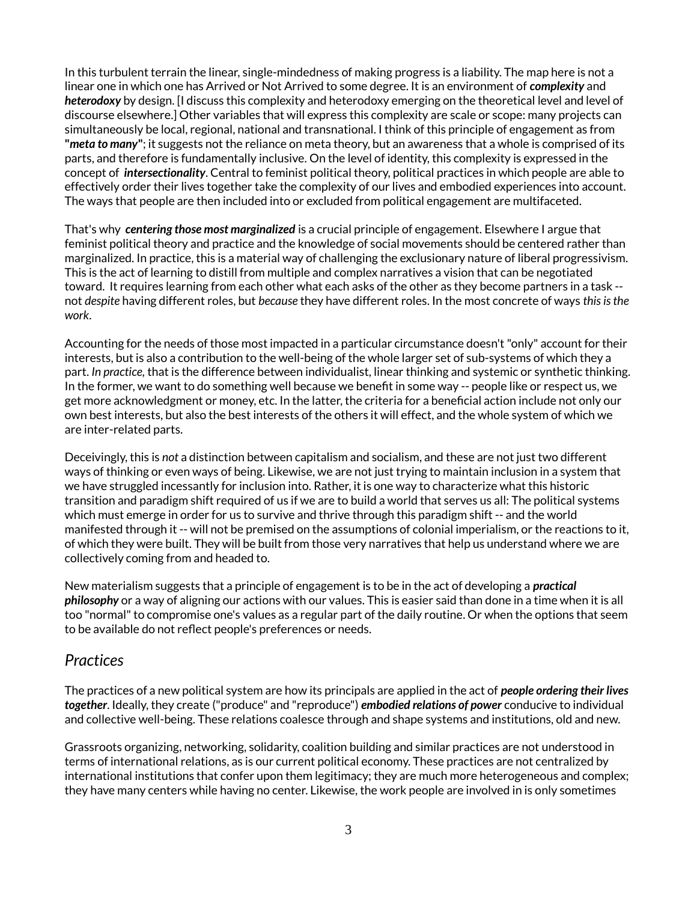In this turbulent terrain the linear, single-mindedness of making progress is a liability. The map here is not a linear one in which one has Arrived or Not Arrived to some degree. It is an environment of *complexity* and *heterodoxy* by design. [I discuss this complexity and heterodoxy emerging on the theoretical level and level of discourse elsewhere.] Other variables that will express this complexity are scale or scope: many projects can simultaneously be local, regional, national and transnational. I think of this principle of engagement as from **"***meta to many***"**; it suggests not the reliance on meta theory, but an awareness that a whole is comprised of its parts, and therefore is fundamentally inclusive. On the level of identity, this complexity is expressed in the concept of *intersectionality*. Central to feminist political theory, political practices in which people are able to effectively order their lives together take the complexity of our lives and embodied experiences into account. The ways that people are then included into or excluded from political engagement are multifaceted.

That's why *centering those most marginalized* is a crucial principle of engagement. Elsewhere I argue that feminist political theory and practice and the knowledge of social movements should be centered rather than marginalized. In practice, this is a material way of challenging the exclusionary nature of liberal progressivism. This is the act of learning to distill from multiple and complex narratives a vision that can be negotiated toward. It requires learning from each other what each asks of the other as they become partners in a task - not *despite* having different roles, but *because* they have different roles. In the most concrete of ways *this is the work*.

Accounting for the needs of those most impacted in a particular circumstance doesn't "only" account for their interests, but is also a contribution to the well-being of the whole larger set of sub-systems of which they a part. *In practice,* that is the difference between individualist, linear thinking and systemic or synthetic thinking. In the former, we want to do something well because we benefit in some way -- people like or respect us, we get more acknowledgment or money, etc. In the latter, the criteria for a beneficial action include not only our own best interests, but also the best interests of the others it will effect, and the whole system of which we are inter-related parts.

Deceivingly, this is *not* a distinction between capitalism and socialism, and these are not just two different ways of thinking or even ways of being. Likewise, we are not just trying to maintain inclusion in a system that we have struggled incessantly for inclusion into. Rather, it is one way to characterize what this historic transition and paradigm shift required of us if we are to build a world that serves us all: The political systems which must emerge in order for us to survive and thrive through this paradigm shift -- and the world manifested through it -- will not be premised on the assumptions of colonial imperialism, or the reactions to it, of which they were built. They will be built from those very narratives that help us understand where we are collectively coming from and headed to.

New materialism suggests that a principle of engagement is to be in the act of developing a *practical philosophy* or a way of aligning our actions with our values. This is easier said than done in a time when it is all too "normal" to compromise one's values as a regular part of the daily routine. Or when the options that seem to be available do not reflect people's preferences or needs.

### *Practices*

The practices of a new political system are how its principals are applied in the act of *people ordering their lives together*. Ideally, they create ("produce" and "reproduce") *embodied relations of power* conducive to individual and collective well-being. These relations coalesce through and shape systems and institutions, old and new.

Grassroots organizing, networking, solidarity, coalition building and similar practices are not understood in terms of international relations, as is our current political economy. These practices are not centralized by international institutions that confer upon them legitimacy; they are much more heterogeneous and complex; they have many centers while having no center. Likewise, the work people are involved in is only sometimes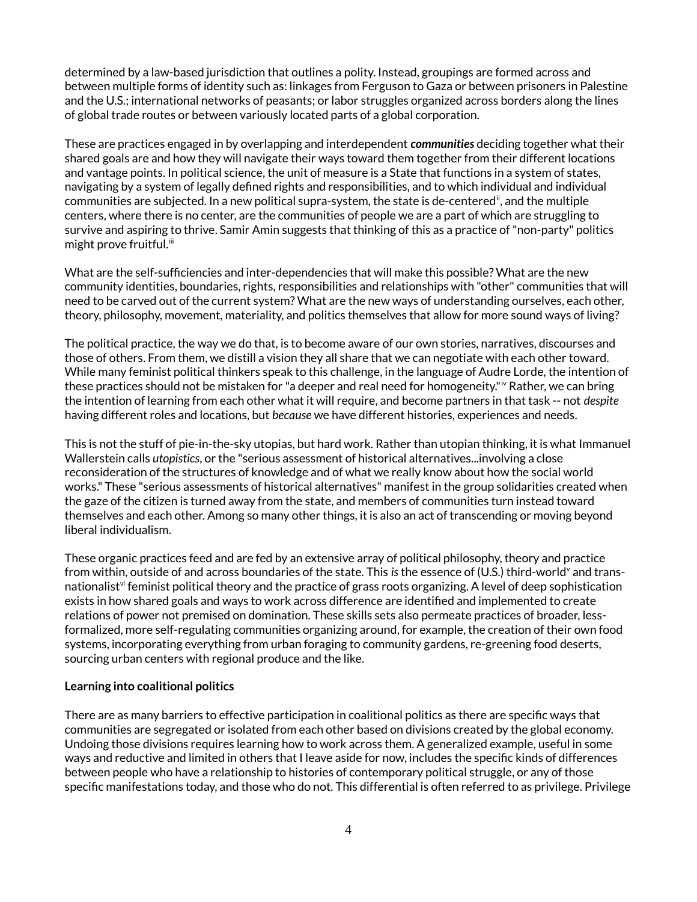determined by a law-based jurisdiction that outlines a polity. Instead, groupings are formed across and between multiple forms of identity such as: linkages from Ferguson to Gaza or between prisoners in Palestine and the U.S.; international networks of peasants; or labor struggles organized across borders along the lines of global trade routes or between variously located parts of a global corporation.

These are practices engaged in by overlapping and interdependent *communities* deciding together what their shared goals are and how they will navigate their ways toward them together from their different locations and vantage points. In political science, the unit of measure is a State that functions in a system of states, navigating by a system of legally defined rights and responsibilities, and to which individual and individual communities are subjected. In a new political supra-system, the state is de-centeredii, and the multiple centers, where there is no center, are the communities of people we are a part of which are struggling to survive and aspiring to thrive. Samir Amin suggests that thinking of this as a practice of "non-party" politics  $m$ ight prove fruitful. $iii$ 

What are the self-sufficiencies and inter-dependencies that will make this possible? What are the new community identities, boundaries, rights, responsibilities and relationships with "other" communities that will need to be carved out of the current system? What are the new ways of understanding ourselves, each other, theory, philosophy, movement, materiality, and politics themselves that allow for more sound ways of living?

The political practice, the way we do that, is to become aware of our own stories, narratives, discourses and those of others. From them, we distill a vision they all share that we can negotiate with each other toward. While many feminist political thinkers speak to this challenge, in the language of Audre Lorde, the intention of these practices should not be mistaken for "a deeper and real need for homogeneity."<sup>iv</sup> Rather, we can bring the intention of learning from each other what it will require, and become partners in that task -- not *despite* having different roles and locations, but *because* we have different histories, experiences and needs.

This is not the stuff of pie-in-the-sky utopias, but hard work. Rather than utopian thinking, it is what Immanuel Wallerstein calls *utopistics*, or the "serious assessment of historical alternatives...involving a close reconsideration of the structures of knowledge and of what we really know about how the social world works." These "serious assessments of historical alternatives" manifest in the group solidarities created when the gaze of the citizen is turned away from the state, and members of communities turn instead toward themselves and each other. Among so many other things, it is also an act of transcending or moving beyond liberal individualism.

These organic practices feed and are fed by an extensive array of political philosophy, theory and practice from within, outside of and across boundaries of the state. This *is* the essence of (U.S.) third-world<sup>v</sup> and transnationalist $v_i$  feminist political theory and the practice of grass roots organizing. A level of deep sophistication exists in how shared goals and ways to work across difference are identified and implemented to create relations of power not premised on domination. These skills sets also permeate practices of broader, lessformalized, more self-regulating communities organizing around, for example, the creation of their own food systems, incorporating everything from urban foraging to community gardens, re-greening food deserts, sourcing urban centers with regional produce and the like.

#### **Learning into coalitional politics**

There are as many barriers to effective participation in coalitional politics as there are specific ways that communities are segregated or isolated from each other based on divisions created by the global economy. Undoing those divisions requires learning how to work across them. A generalized example, useful in some ways and reductive and limited in others that I leave aside for now, includes the specific kinds of differences between people who have a relationship to histories of contemporary political struggle, or any of those specific manifestations today, and those who do not. This differential is often referred to as privilege. Privilege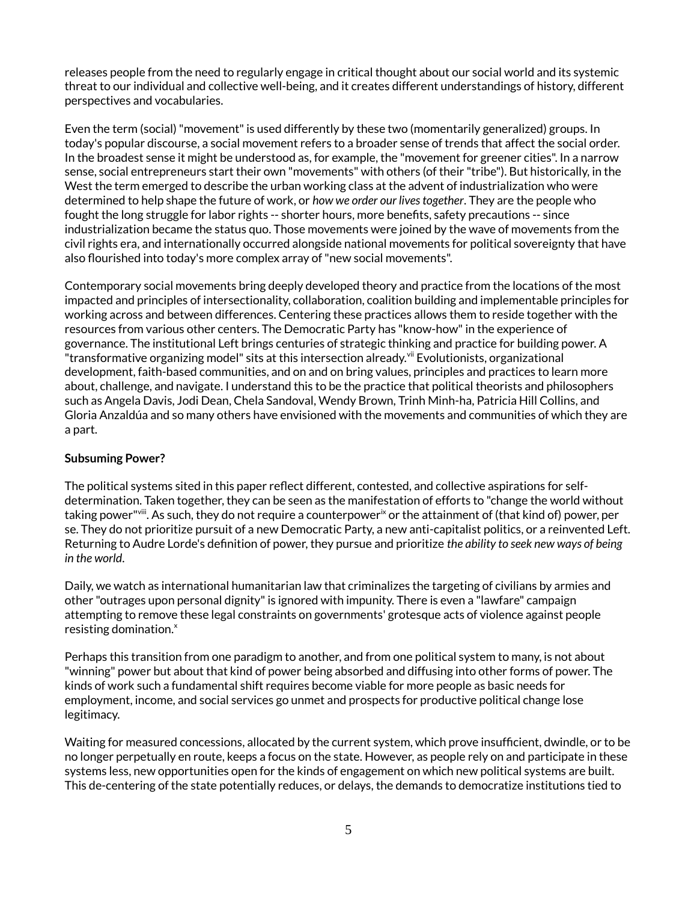releases people from the need to regularly engage in critical thought about our social world and its systemic threat to our individual and collective well-being, and it creates different understandings of history, different perspectives and vocabularies.

Even the term (social) "movement" is used differently by these two (momentarily generalized) groups. In today's popular discourse, a social movement refers to a broader sense of trends that affect the social order. In the broadest sense it might be understood as, for example, the "movement for greener cities". In a narrow sense, social entrepreneurs start their own "movements" with others (of their "tribe"). But historically, in the West the term emerged to describe the urban working class at the advent of industrialization who were determined to help shape the future of work, or *how we order our lives together*. They are the people who fought the long struggle for labor rights -- shorter hours, more benefits, safety precautions -- since industrialization became the status quo. Those movements were joined by the wave of movements from the civil rights era, and internationally occurred alongside national movements for political sovereignty that have also flourished into today's more complex array of "new social movements".

Contemporary social movements bring deeply developed theory and practice from the locations of the most impacted and principles of intersectionality, collaboration, coalition building and implementable principles for working across and between differences. Centering these practices allows them to reside together with the resources from various other centers. The Democratic Party has "know-how" in the experience of governance. The institutional Left brings centuries of strategic thinking and practice for building power. A "transformative organizing model" sits at this intersection already. $^{\rm vi}$  Evolutionists, organizational development, faith-based communities, and on and on bring values, principles and practices to learn more about, challenge, and navigate. I understand this to be the practice that political theorists and philosophers such as Angela Davis, Jodi Dean, Chela Sandoval, Wendy Brown, Trinh Minh-ha, Patricia Hill Collins, and Gloria Anzaldúa and so many others have envisioned with the movements and communities of which they are a part.

### **Subsuming Power?**

The political systems sited in this paper reflect different, contested, and collective aspirations for selfdetermination. Taken together, they can be seen as the manifestation of efforts to "change the world without taking power"<sup>viii</sup>. As such, they do not require a counterpower<sup>ix</sup> or the attainment of (that kind of) power, per se. They do not prioritize pursuit of a new Democratic Party, a new anti-capitalist politics, or a reinvented Left. Returning to Audre Lorde's definition of power, they pursue and prioritize *the ability to seek new ways of being in the world*.

Daily, we watch as international humanitarian law that criminalizes the targeting of civilians by armies and other "outrages upon personal dignity" is ignored with impunity. There is even a "lawfare" campaign attempting to remove these legal constraints on governments' grotesque acts of violence against people resisting domination.<sup>x</sup>

Perhaps this transition from one paradigm to another, and from one political system to many, is not about "winning" power but about that kind of power being absorbed and diffusing into other forms of power. The kinds of work such a fundamental shift requires become viable for more people as basic needs for employment, income, and social services go unmet and prospects for productive political change lose legitimacy.

Waiting for measured concessions, allocated by the current system, which prove insufficient, dwindle, or to be no longer perpetually en route, keeps a focus on the state. However, as people rely on and participate in these systems less, new opportunities open for the kinds of engagement on which new political systems are built. This de-centering of the state potentially reduces, or delays, the demands to democratize institutions tied to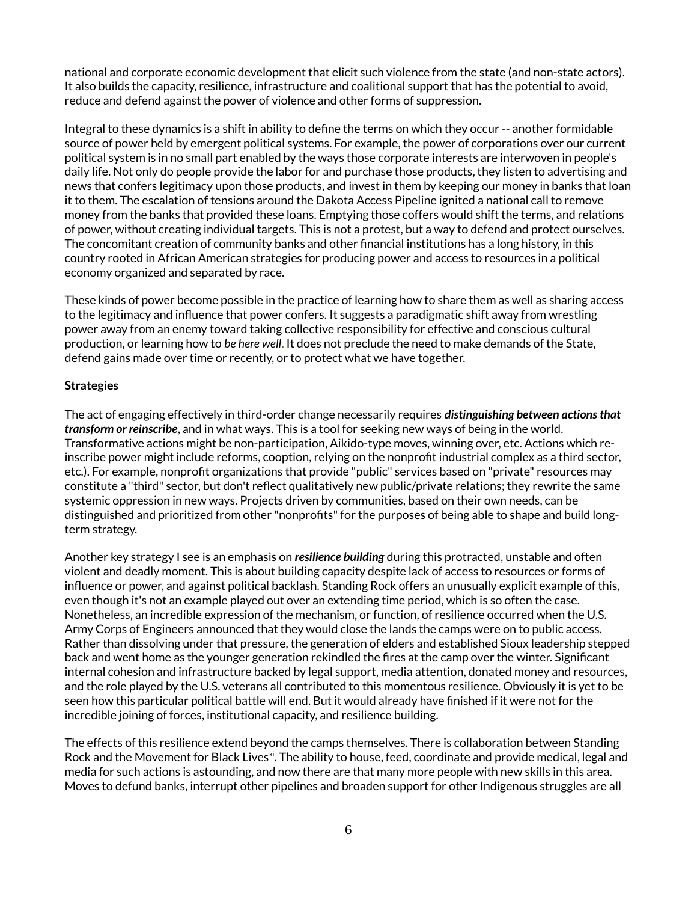national and corporate economic development that elicit such violence from the state (and non-state actors). It also builds the capacity, resilience, infrastructure and coalitional support that has the potential to avoid, reduce and defend against the power of violence and other forms of suppression.

Integral to these dynamics is a shift in ability to define the terms on which they occur -- another formidable source of power held by emergent political systems. For example, the power of corporations over our current political system is in no small part enabled by the ways those corporate interests are interwoven in people's daily life. Not only do people provide the labor for and purchase those products, they listen to advertising and news that confers legitimacy upon those products, and invest in them by keeping our money in banks that loan it to them. The escalation of tensions around the Dakota Access Pipeline ignited a national call to remove money from the banks that provided these loans. Emptying those coffers would shift the terms, and relations of power, without creating individual targets. This is not a protest, but a way to defend and protect ourselves. The concomitant creation of community banks and other financial institutions has a long history, in this country rooted in African American strategies for producing power and access to resources in a political economy organized and separated by race.

These kinds of power become possible in the practice of learning how to share them as well as sharing access to the legitimacy and influence that power confers. It suggests a paradigmatic shift away from wrestling power away from an enemy toward taking collective responsibility for effective and conscious cultural production, or learning how to *be here well*. It does not preclude the need to make demands of the State, defend gains made over time or recently, or to protect what we have together.

#### **Strategies**

The act of engaging effectively in third-order change necessarily requires *distinguishing between actions that transform or reinscribe*, and in what ways. This is a tool for seeking new ways of being in the world. Transformative actions might be non-participation, Aikido-type moves, winning over, etc. Actions which reinscribe power might include reforms, cooption, relying on the nonprofit industrial complex as a third sector, etc.). For example, nonprofit organizations that provide "public" services based on "private" resources may constitute a "third" sector, but don't reflect qualitatively new public/private relations; they rewrite the same systemic oppression in new ways. Projects driven by communities, based on their own needs, can be distinguished and prioritized from other "nonprofits" for the purposes of being able to shape and build longterm strategy.

Another key strategy I see is an emphasis on *resilience building* during this protracted, unstable and often violent and deadly moment. This is about building capacity despite lack of access to resources or forms of influence or power, and against political backlash. Standing Rock offers an unusually explicit example of this, even though it's not an example played out over an extending time period, which is so often the case. Nonetheless, an incredible expression of the mechanism, or function, of resilience occurred when the U.S. Army Corps of Engineers announced that they would close the lands the camps were on to public access. Rather than dissolving under that pressure, the generation of elders and established Sioux leadership stepped back and went home as the younger generation rekindled the fires at the camp over the winter. Significant internal cohesion and infrastructure backed by legal support, media attention, donated money and resources, and the role played by the U.S. veterans all contributed to this momentous resilience. Obviously it is yet to be seen how this particular political battle will end. But it would already have finished if it were not for the incredible joining of forces, institutional capacity, and resilience building.

The effects of this resilience extend beyond the camps themselves. There is collaboration between Standing Rock and the Movement for Black Lives<sup>xi</sup>. The ability to house, feed, coordinate and provide medical, legal and media for such actions is astounding, and now there are that many more people with new skills in this area. Moves to defund banks, interrupt other pipelines and broaden support for other Indigenous struggles are all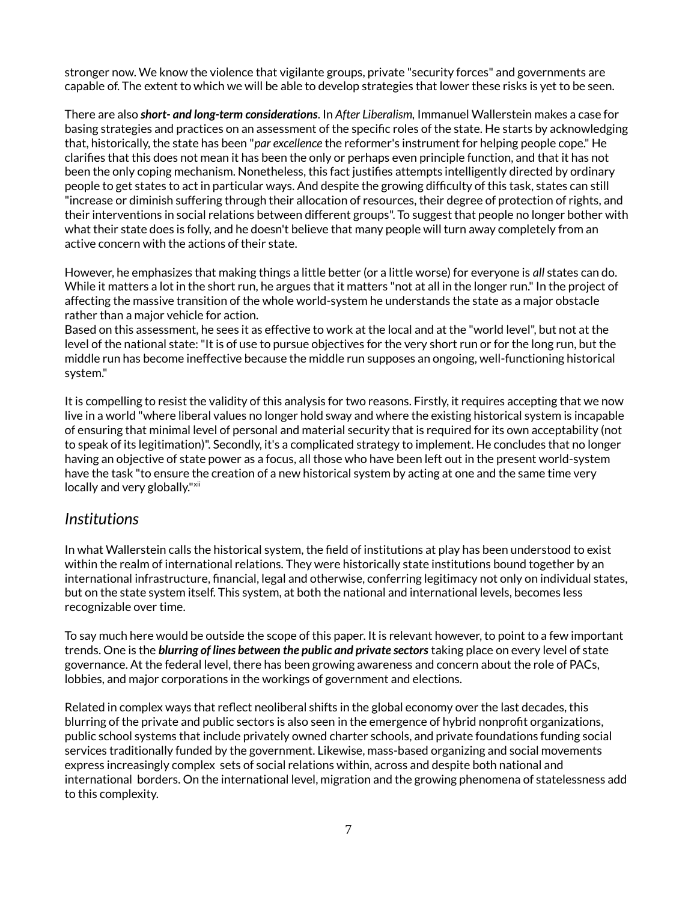stronger now. We know the violence that vigilante groups, private "security forces" and governments are capable of. The extent to which we will be able to develop strategies that lower these risks is yet to be seen.

There are also *short- and long-term considerations*. In *After Liberalism,* Immanuel Wallerstein makes a case for basing strategies and practices on an assessment of the specific roles of the state. He starts by acknowledging that, historically, the state has been "*par excellence* the reformer's instrument for helping people cope." He clarifies that this does not mean it has been the only or perhaps even principle function, and that it has not been the only coping mechanism. Nonetheless, this fact justifies attempts intelligently directed by ordinary people to get states to act in particular ways. And despite the growing difficulty of this task, states can still "increase or diminish suffering through their allocation of resources, their degree of protection of rights, and their interventions in social relations between different groups". To suggest that people no longer bother with what their state does is folly, and he doesn't believe that many people will turn away completely from an active concern with the actions of their state.

However, he emphasizes that making things a little better (or a little worse) for everyone is *all* states can do. While it matters a lot in the short run, he argues that it matters "not at all in the longer run." In the project of affecting the massive transition of the whole world-system he understands the state as a major obstacle rather than a major vehicle for action.

Based on this assessment, he sees it as effective to work at the local and at the "world level", but not at the level of the national state: "It is of use to pursue objectives for the very short run or for the long run, but the middle run has become ineffective because the middle run supposes an ongoing, well-functioning historical system."

It is compelling to resist the validity of this analysis for two reasons. Firstly, it requires accepting that we now live in a world "where liberal values no longer hold sway and where the existing historical system is incapable of ensuring that minimal level of personal and material security that is required for its own acceptability (not to speak of its legitimation)". Secondly, it's a complicated strategy to implement. He concludes that no longer having an objective of state power as a focus, all those who have been left out in the present world-system have the task "to ensure the creation of a new historical system by acting at one and the same time very locally and very globally."<sup>xii</sup>

## *Institutions*

In what Wallerstein calls the historical system, the field of institutions at play has been understood to exist within the realm of international relations. They were historically state institutions bound together by an international infrastructure, financial, legal and otherwise, conferring legitimacy not only on individual states, but on the state system itself. This system, at both the national and international levels, becomes less recognizable over time.

To say much here would be outside the scope of this paper. It is relevant however, to point to a few important trends. One is the *blurring of lines between the public and private sectors* taking place on every level of state governance. At the federal level, there has been growing awareness and concern about the role of PACs, lobbies, and major corporations in the workings of government and elections.

Related in complex ways that reflect neoliberal shifts in the global economy over the last decades, this blurring of the private and public sectors is also seen in the emergence of hybrid nonprofit organizations, public school systems that include privately owned charter schools, and private foundations funding social services traditionally funded by the government. Likewise, mass-based organizing and social movements express increasingly complex sets of social relations within, across and despite both national and international borders. On the international level, migration and the growing phenomena of statelessness add to this complexity.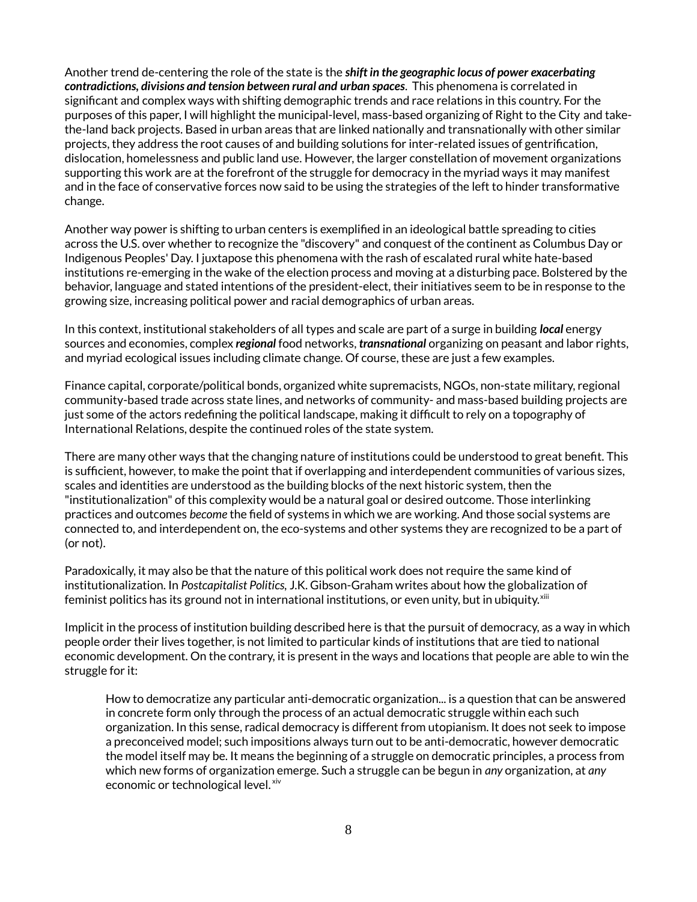Another trend de-centering the role of the state is the *shift in the geographic locus of power exacerbating contradictions, divisions and tension between rural and urban spaces*. This phenomena is correlated in significant and complex ways with shifting demographic trends and race relations in this country. For the purposes of this paper, I will highlight the municipal-level, mass-based organizing of Right to the City and takethe-land back projects. Based in urban areas that are linked nationally and transnationally with other similar projects, they address the root causes of and building solutions for inter-related issues of gentrification, dislocation, homelessness and public land use. However, the larger constellation of movement organizations supporting this work are at the forefront of the struggle for democracy in the myriad ways it may manifest and in the face of conservative forces now said to be using the strategies of the left to hinder transformative change.

Another way power is shifting to urban centers is exemplified in an ideological battle spreading to cities across the U.S. over whether to recognize the "discovery" and conquest of the continent as Columbus Day or Indigenous Peoples' Day. I juxtapose this phenomena with the rash of escalated rural white hate-based institutions re-emerging in the wake of the election process and moving at a disturbing pace. Bolstered by the behavior, language and stated intentions of the president-elect, their initiatives seem to be in response to the growing size, increasing political power and racial demographics of urban areas.

In this context, institutional stakeholders of all types and scale are part of a surge in building *local* energy sources and economies, complex *regional* food networks, *transnational* organizing on peasant and labor rights, and myriad ecological issues including climate change. Of course, these are just a few examples.

Finance capital, corporate/political bonds, organized white supremacists, NGOs, non-state military, regional community-based trade across state lines, and networks of community- and mass-based building projects are just some of the actors redefining the political landscape, making it difficult to rely on a topography of International Relations, despite the continued roles of the state system.

There are many other ways that the changing nature of institutions could be understood to great benefit. This is sufficient, however, to make the point that if overlapping and interdependent communities of various sizes, scales and identities are understood as the building blocks of the next historic system, then the "institutionalization" of this complexity would be a natural goal or desired outcome. Those interlinking practices and outcomes *become* the field of systems in which we are working. And those social systems are connected to, and interdependent on, the eco-systems and other systems they are recognized to be a part of (or not).

Paradoxically, it may also be that the nature of this political work does not require the same kind of institutionalization. In *Postcapitalist Politics,* J.K. Gibson-Graham writes about how the globalization of feminist politics has its ground not in international institutions, or even unity, but in ubiquity.<sup>xiii</sup>

Implicit in the process of institution building described here is that the pursuit of democracy, as a way in which people order their lives together, is not limited to particular kinds of institutions that are tied to national economic development. On the contrary, it is present in the ways and locations that people are able to win the struggle for it:

How to democratize any particular anti-democratic organization... is a question that can be answered in concrete form only through the process of an actual democratic struggle within each such organization. In this sense, radical democracy is different from utopianism. It does not seek to impose a preconceived model; such impositions always turn out to be anti-democratic, however democratic the model itself may be. It means the beginning of a struggle on democratic principles, a process from which new forms of organization emerge. Such a struggle can be begun in *any* organization, at *any* economic or technological level. xiv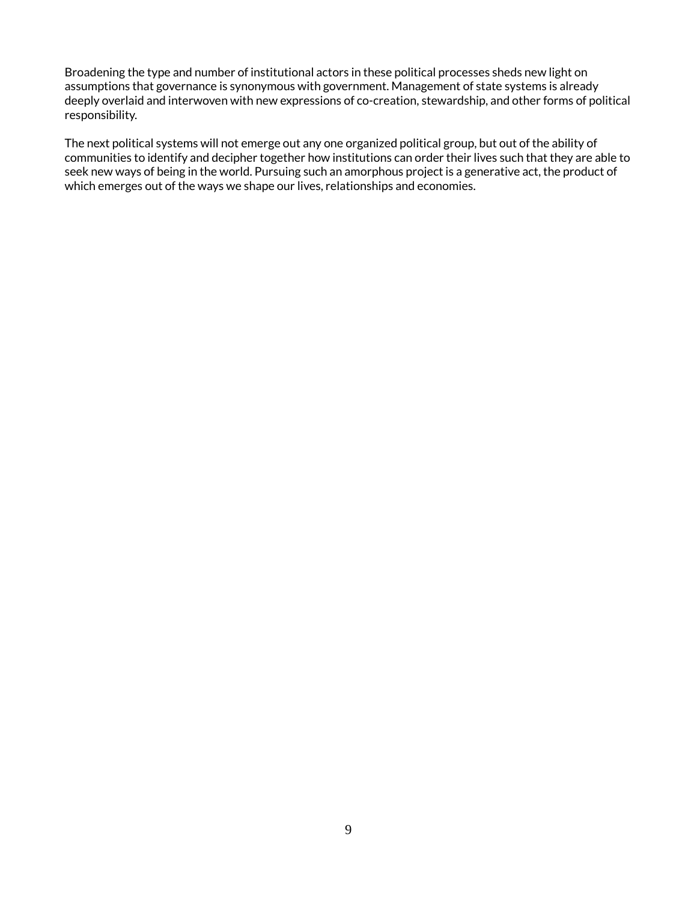Broadening the type and number of institutional actors in these political processes sheds new light on assumptions that governance is synonymous with government. Management of state systems is already deeply overlaid and interwoven with new expressions of co-creation, stewardship, and other forms of political responsibility.

The next political systems will not emerge out any one organized political group, but out of the ability of communities to identify and decipher together how institutions can order their lives such that they are able to seek new ways of being in the world. Pursuing such an amorphous project is a generative act, the product of which emerges out of the ways we shape our lives, relationships and economies.